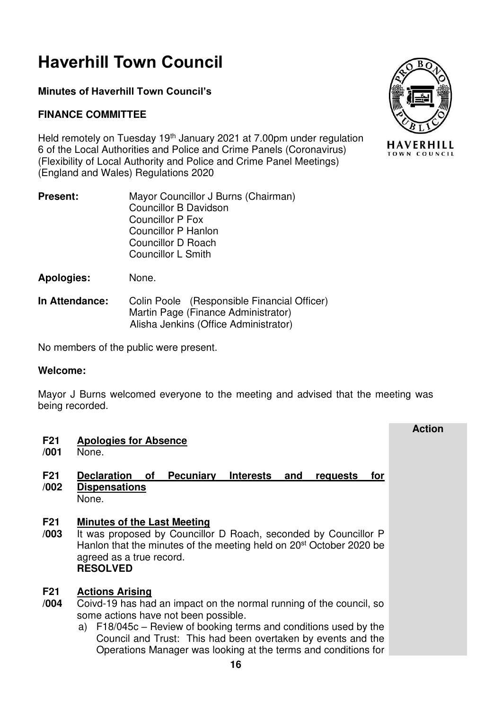# **Haverhill Town Council**

# **Minutes of Haverhill Town Council's**

# **FINANCE COMMITTEE**

Held remotely on Tuesday 19<sup>th</sup> January 2021 at 7.00pm under regulation 6 of the Local Authorities and Police and Crime Panels (Coronavirus) (Flexibility of Local Authority and Police and Crime Panel Meetings) (England and Wales) Regulations 2020

- **Present:** Mayor Councillor J Burns (Chairman) Councillor B Davidson Councillor P Fox Councillor P Hanlon Councillor D Roach Councillor L Smith
- **Apologies:** None.
- **In Attendance:** Colin Poole (Responsible Financial Officer) Martin Page (Finance Administrator) Alisha Jenkins (Office Administrator)

No members of the public were present.

### **Welcome:**

Mayor J Burns welcomed everyone to the meeting and advised that the meeting was being recorded.

| F <sub>21</sub><br>/001 | <b>Apologies for Absence</b><br>None.                                                                                                                                                                                                                                                                                                          | <b>Action</b> |
|-------------------------|------------------------------------------------------------------------------------------------------------------------------------------------------------------------------------------------------------------------------------------------------------------------------------------------------------------------------------------------|---------------|
| F <sub>21</sub><br>/002 | <b>Declaration</b><br>Pecuniary<br><b>Interests</b><br>0f<br>and<br>requests<br>for<br><b>Dispensations</b><br>None.                                                                                                                                                                                                                           |               |
| F <sub>21</sub><br>/003 | <b>Minutes of the Last Meeting</b><br>It was proposed by Councillor D Roach, seconded by Councillor P<br>Hanlon that the minutes of the meeting held on 20 <sup>st</sup> October 2020 be<br>agreed as a true record.<br><b>RESOLVED</b>                                                                                                        |               |
| F <sub>21</sub><br>/004 | <b>Actions Arising</b><br>Coivd-19 has had an impact on the normal running of the council, so<br>some actions have not been possible.<br>F18/045c - Review of booking terms and conditions used by the<br>a)<br>Council and Trust: This had been overtaken by events and the<br>Operations Manager was looking at the terms and conditions for |               |

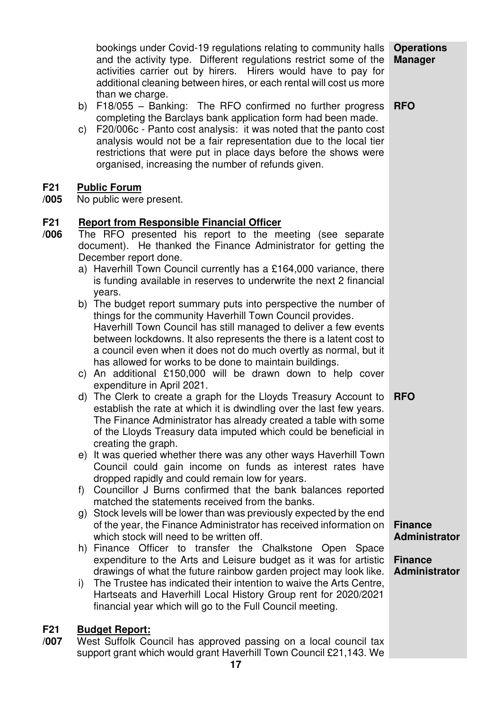|                         | bookings under Covid-19 regulations relating to community halls<br>and the activity type. Different regulations restrict some of the<br>activities carrier out by hirers. Hirers would have to pay for<br>additional cleaning between hires, or each rental will cost us more<br>than we charge.                                                                                                                                                                                                                                                                                                                                                                                                                                                                                                                                                                                                                                                                                                                                                                                                                                                                                                                                                                                                                                                                                                                                                                                                                                                                                                                                                                                                                                                                                                                                                                                                                                                                                                                                                                                                               | <b>Operations</b><br><b>Manager</b>                                                            |
|-------------------------|----------------------------------------------------------------------------------------------------------------------------------------------------------------------------------------------------------------------------------------------------------------------------------------------------------------------------------------------------------------------------------------------------------------------------------------------------------------------------------------------------------------------------------------------------------------------------------------------------------------------------------------------------------------------------------------------------------------------------------------------------------------------------------------------------------------------------------------------------------------------------------------------------------------------------------------------------------------------------------------------------------------------------------------------------------------------------------------------------------------------------------------------------------------------------------------------------------------------------------------------------------------------------------------------------------------------------------------------------------------------------------------------------------------------------------------------------------------------------------------------------------------------------------------------------------------------------------------------------------------------------------------------------------------------------------------------------------------------------------------------------------------------------------------------------------------------------------------------------------------------------------------------------------------------------------------------------------------------------------------------------------------------------------------------------------------------------------------------------------------|------------------------------------------------------------------------------------------------|
|                         | F18/055 - Banking: The RFO confirmed no further progress<br>b)<br>completing the Barclays bank application form had been made.<br>F20/006c - Panto cost analysis: it was noted that the panto cost<br>C)<br>analysis would not be a fair representation due to the local tier<br>restrictions that were put in place days before the shows were<br>organised, increasing the number of refunds given.                                                                                                                                                                                                                                                                                                                                                                                                                                                                                                                                                                                                                                                                                                                                                                                                                                                                                                                                                                                                                                                                                                                                                                                                                                                                                                                                                                                                                                                                                                                                                                                                                                                                                                          | <b>RFO</b>                                                                                     |
| <b>F21</b><br>/005      | <b>Public Forum</b><br>No public were present.                                                                                                                                                                                                                                                                                                                                                                                                                                                                                                                                                                                                                                                                                                                                                                                                                                                                                                                                                                                                                                                                                                                                                                                                                                                                                                                                                                                                                                                                                                                                                                                                                                                                                                                                                                                                                                                                                                                                                                                                                                                                 |                                                                                                |
| F <sub>21</sub><br>/006 | <b>Report from Responsible Financial Officer</b><br>The RFO presented his report to the meeting (see separate<br>document). He thanked the Finance Administrator for getting the<br>December report done.<br>a) Haverhill Town Council currently has a £164,000 variance, there<br>is funding available in reserves to underwrite the next 2 financial<br>years.<br>b) The budget report summary puts into perspective the number of<br>things for the community Haverhill Town Council provides.<br>Haverhill Town Council has still managed to deliver a few events<br>between lockdowns. It also represents the there is a latent cost to<br>a council even when it does not do much overtly as normal, but it<br>has allowed for works to be done to maintain buildings.<br>c) An additional £150,000 will be drawn down to help cover<br>expenditure in April 2021.<br>d) The Clerk to create a graph for the Lloyds Treasury Account to<br>establish the rate at which it is dwindling over the last few years.<br>The Finance Administrator has already created a table with some<br>of the Lloyds Treasury data imputed which could be beneficial in<br>creating the graph.<br>e) It was queried whether there was any other ways Haverhill Town<br>Council could gain income on funds as interest rates have<br>dropped rapidly and could remain low for years.<br>Councillor J Burns confirmed that the bank balances reported<br>f)<br>matched the statements received from the banks.<br>g) Stock levels will be lower than was previously expected by the end<br>of the year, the Finance Administrator has received information on<br>which stock will need to be written off.<br>h) Finance Officer to transfer the Chalkstone Open Space<br>expenditure to the Arts and Leisure budget as it was for artistic<br>drawings of what the future rainbow garden project may look like.<br>The Trustee has indicated their intention to waive the Arts Centre,<br>i)<br>Hartseats and Haverhill Local History Group rent for 2020/2021<br>financial year which will go to the Full Council meeting. | <b>RFO</b><br><b>Finance</b><br><b>Administrator</b><br><b>Finance</b><br><b>Administrator</b> |
| F <sub>21</sub>         | <b>Budget Report:</b>                                                                                                                                                                                                                                                                                                                                                                                                                                                                                                                                                                                                                                                                                                                                                                                                                                                                                                                                                                                                                                                                                                                                                                                                                                                                                                                                                                                                                                                                                                                                                                                                                                                                                                                                                                                                                                                                                                                                                                                                                                                                                          |                                                                                                |

**/007**  West Suffolk Council has approved passing on a local council tax support grant which would grant Haverhill Town Council £21,143. We